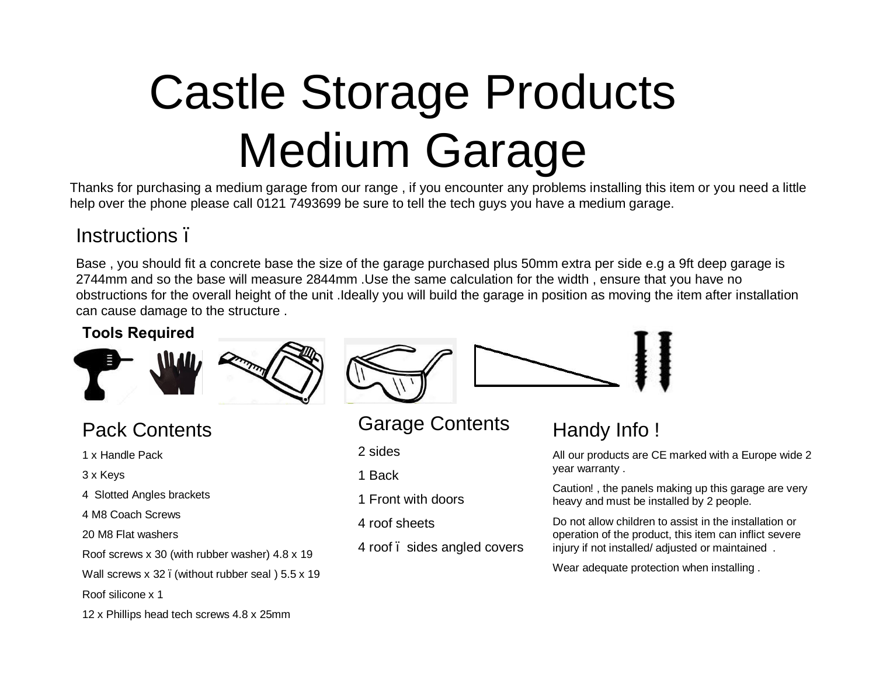# Castle Storage Products Medium Garage

Thanks for purchasing a medium garage from our range , if you encounter any problems installing this item or you need a little help over the phone please call 0121 7493699 be sure to tell the tech guys you have a medium garage.

## Instructions –

Base , you should fit a concrete base the size of the garage purchased plus 50mm extra per side e.g a 9ft deep garage is 2744mm and so the base will measure 2844mm .Use the same calculation for the width , ensure that you have no obstructions for the overall height of the unit .Ideally you will build the garage in position as moving the item after installation can cause damage to the structure .

#### **Tools Required**



# Pack Contents

- 1 x Handle Pack
- 3 x Keys
- 4 Slotted Angles brackets
- 4 M8 Coach Screws
- 20 M8 Flat washers
- Roof screws x 30 (with rubber washer) 4.8 x 19
- Wall screws x 32. (without rubber seal) 5.5 x 19
- Roof silicone x 1
- 12 x Phillips head tech screws 4.8 x 25mm



Garage Contents

2 sides

- 1 Back
- 1 Front with doors
- 4 roof sheets
- 4 roof sides angled covers

# Handy Info !

All our products are CE marked with a Europe wide 2 year warranty .

Caution! , the panels making up this garage are very heavy and must be installed by 2 people.

Do not allow children to assist in the installation or operation of the product, this item can inflict severe injury if not installed/ adjusted or maintained .

Wear adequate protection when installing .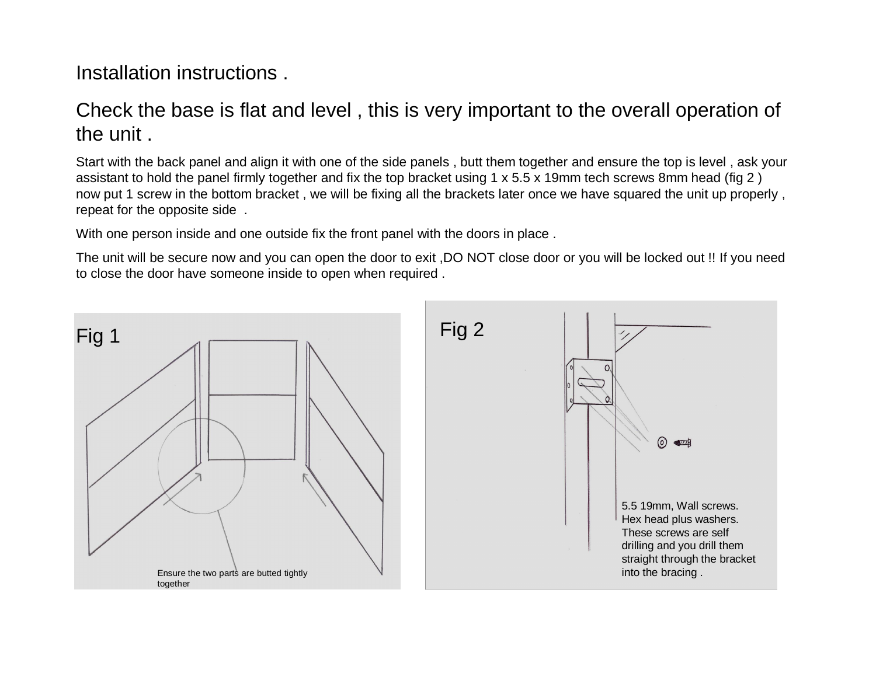#### Installation instructions .

# Check the base is flat and level , this is very important to the overall operation of the unit .

Start with the back panel and align it with one of the side panels , butt them together and ensure the top is level , ask your assistant to hold the panel firmly together and fix the top bracket using 1 x 5.5 x 19mm tech screws 8mm head (fig 2 ) now put 1 screw in the bottom bracket , we will be fixing all the brackets later once we have squared the unit up properly , repeat for the opposite side .

With one person inside and one outside fix the front panel with the doors in place .

The unit will be secure now and you can open the door to exit ,DO NOT close door or you will be locked out !! If you need to close the door have someone inside to open when required .

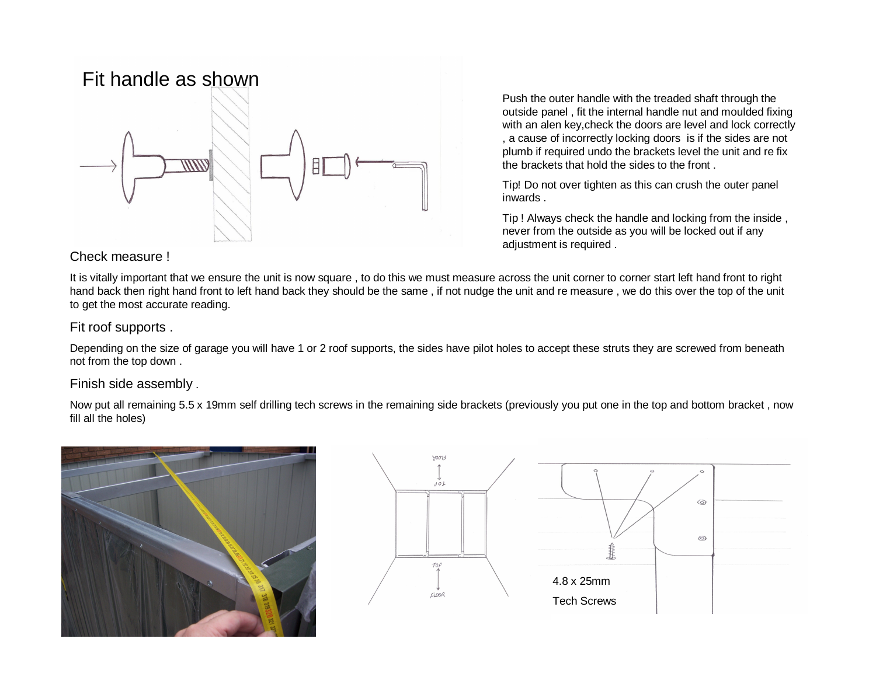## Fit handle as shown



Check measure !

Push the outer handle with the treaded shaft through the outside panel , fit the internal handle nut and moulded fixing with an alen key,check the doors are level and lock correctly , a cause of incorrectly locking doors is if the sides are not plumb if required undo the brackets level the unit and re fix the brackets that hold the sides to the front .

Tip! Do not over tighten as this can crush the outer panel inwards .

Tip ! Always check the handle and locking from the inside , never from the outside as you will be locked out if any adjustment is required .

It is vitally important that we ensure the unit is now square , to do this we must measure across the unit corner to corner start left hand front to right hand back then right hand front to left hand back they should be the same, if not nudge the unit and re measure, we do this over the top of the unit to get the most accurate reading.

#### Fit roof supports .

Depending on the size of garage you will have 1 or 2 roof supports, the sides have pilot holes to accept these struts they are screwed from beneath not from the top down .

#### Finish side assembly .

Now put all remaining 5.5 x 19mm self drilling tech screws in the remaining side brackets (previously you put one in the top and bottom bracket , now fill all the holes)



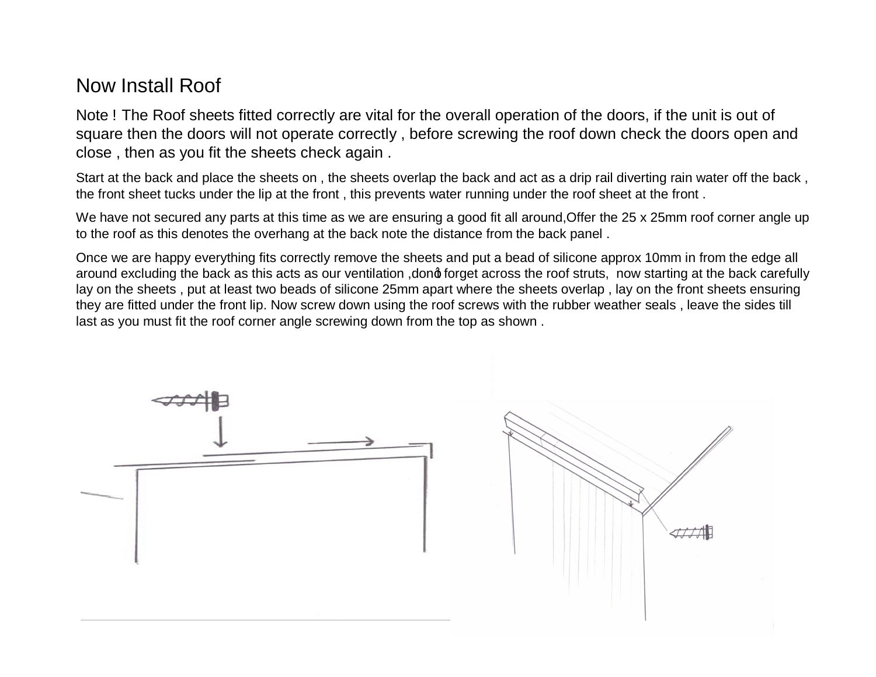## Now Install Roof

Note ! The Roof sheets fitted correctly are vital for the overall operation of the doors, if the unit is out of square then the doors will not operate correctly , before screwing the roof down check the doors open and close , then as you fit the sheets check again .

Start at the back and place the sheets on , the sheets overlap the back and act as a drip rail diverting rain water off the back , the front sheet tucks under the lip at the front , this prevents water running under the roof sheet at the front .

We have not secured any parts at this time as we are ensuring a good fit all around, Offer the 25 x 25mm roof corner angle up to the roof as this denotes the overhang at the back note the distance from the back panel .

Once we are happy everything fits correctly remove the sheets and put a bead of silicone approx 10mm in from the edge all around excluding the back as this acts as our ventilation, dong forget across the roof struts, now starting at the back carefully lay on the sheets , put at least two beads of silicone 25mm apart where the sheets overlap , lay on the front sheets ensuring they are fitted under the front lip. Now screw down using the roof screws with the rubber weather seals , leave the sides till last as you must fit the roof corner angle screwing down from the top as shown .